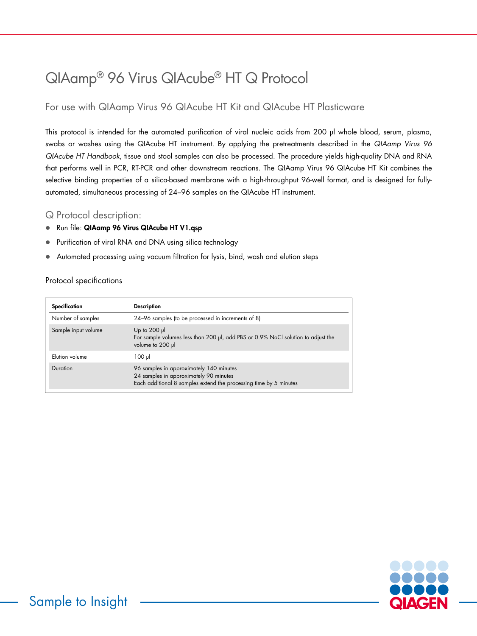# QIAamp® 96 Virus QIAcube® HT Q Protocol

### For use with QIAamp Virus 96 QIAcube HT Kit and QIAcube HT Plasticware

This protocol is intended for the automated purification of viral nucleic acids from 200 µl whole blood, serum, plasma, swabs or washes using the QIAcube HT instrument. By applying the pretreatments described in the *QIAamp Virus 96 QIAcube HT Handbook*, tissue and stool samples can also be processed. The procedure yields high-quality DNA and RNA that performs well in PCR, RT-PCR and other downstream reactions. The QIAamp Virus 96 QIAcube HT Kit combines the selective binding properties of a silica-based membrane with a high-throughput 96-well format, and is designed for fullyautomated, simultaneous processing of 24–96 samples on the QIAcube HT instrument.

### Q Protocol description:

- Run file: QIAamp 96 Virus QIAcube HT V1.qsp
- Purification of viral RNA and DNA using silica technology
- Automated processing using vacuum filtration for lysis, bind, wash and elution steps

### Protocol specifications

| Specification       | <b>Description</b>                                                                                                                                     |
|---------------------|--------------------------------------------------------------------------------------------------------------------------------------------------------|
| Number of samples   | 24-96 samples (to be processed in increments of 8)                                                                                                     |
| Sample input volume | Up to $200$ $\mu$<br>For sample volumes less than 200 µl, add PBS or 0.9% NaCl solution to adjust the<br>volume to 200 µl                              |
| Elution volume      | $100 \mu$                                                                                                                                              |
| Duration            | 96 samples in approximately 140 minutes<br>24 samples in approximately 90 minutes<br>Each additional 8 samples extend the processing time by 5 minutes |

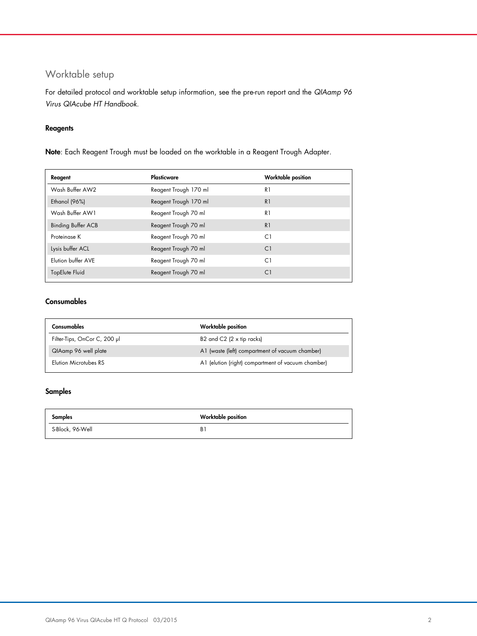## Worktable setup

For detailed protocol and worktable setup information, see the pre-run report and the *QIAamp 96 Virus QIAcube HT Handbook*.

### Reagents

Note: Each Reagent Trough must be loaded on the worktable in a Reagent Trough Adapter.

| Reagent                   | Plasticware           | Worktable position |
|---------------------------|-----------------------|--------------------|
| Wash Buffer AW2           | Reagent Trough 170 ml | R1                 |
| Ethanol (96%)             | Reagent Trough 170 ml | R <sub>1</sub>     |
| Wash Buffer AW1           | Reagent Trough 70 ml  | R1                 |
| <b>Binding Buffer ACB</b> | Reagent Trough 70 ml  | R <sub>1</sub>     |
| Proteinase K              | Reagent Trough 70 ml  | C1                 |
| Lysis buffer ACL          | Reagent Trough 70 ml  | C1                 |
| Elution buffer AVE        | Reagent Trough 70 ml  | C1                 |
| TopElute Fluid            | Reagent Trough 70 ml  | C1                 |

### Consumables

| Consumables                  | Worktable position                                 |
|------------------------------|----------------------------------------------------|
| Filter-Tips, OnCor C, 200 µl | B2 and $C2$ (2 $\times$ tip racks)                 |
| QIAamp 96 well plate         | A1 (waste (left) compartment of vacuum chamber)    |
| Elution Microtubes RS        | A1 (elution (right) compartment of vacuum chamber) |

#### Samples

| <b>Samples</b>   | Worktable position |
|------------------|--------------------|
| S-Block, 96-Well | B١                 |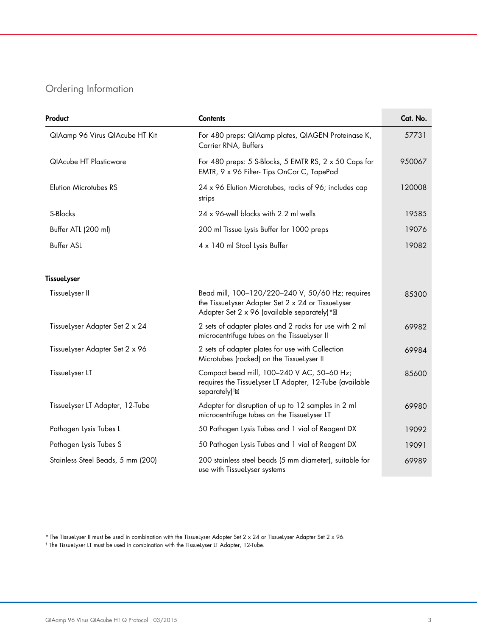## Ordering Information

| Product                           | <b>Contents</b>                                                                                                                                     | Cat. No. |
|-----------------------------------|-----------------------------------------------------------------------------------------------------------------------------------------------------|----------|
| QlAamp 96 Virus QlAcube HT Kit    | For 480 preps: QIAamp plates, QIAGEN Proteinase K,<br>Carrier RNA, Buffers                                                                          | 57731    |
| <b>QIAcube HT Plasticware</b>     | For 480 preps: 5 S-Blocks, 5 EMTR RS, $2 \times 50$ Caps for<br>EMTR, 9 x 96 Filter- Tips OnCor C, TapePad                                          | 950067   |
| <b>Elution Microtubes RS</b>      | 24 x 96 Elution Microtubes, racks of 96; includes cap<br>strips                                                                                     | 120008   |
| S-Blocks                          | 24 x 96-well blocks with 2.2 ml wells                                                                                                               | 19585    |
| Buffer ATL (200 ml)               | 200 ml Tissue Lysis Buffer for 1000 preps                                                                                                           | 19076    |
| <b>Buffer ASL</b>                 | 4 x 140 ml Stool Lysis Buffer                                                                                                                       | 19082    |
| <b>TissueLyser</b>                |                                                                                                                                                     |          |
| TissueLyser II                    | Bead mill, 100-120/220-240 V, 50/60 Hz; requires<br>the TissueLyser Adapter Set 2 x 24 or TissueLyser<br>Adapter Set 2 x 96 (available separately)* | 85300    |
| TissueLyser Adapter Set 2 x 24    | 2 sets of adapter plates and 2 racks for use with 2 ml<br>microcentrifuge tubes on the TissueLyser II                                               | 69982    |
| Tissuelyser Adapter Set 2 x 96    | 2 sets of adapter plates for use with Collection<br>Microtubes (racked) on the TissueLyser II                                                       | 69984    |
| TissueLyser LT                    | Compact bead mill, 100-240 V AC, 50-60 Hz;<br>requires the Tissuelyser LT Adapter, 12-Tube (available<br>separately) <sup>†</sup>                   | 85600    |
| Tissuelyser LT Adapter, 12-Tube   | Adapter for disruption of up to 12 samples in 2 ml<br>microcentrifuge tubes on the TissueLyser LT                                                   | 69980    |
| Pathogen Lysis Tubes L            | 50 Pathogen Lysis Tubes and 1 vial of Reagent DX                                                                                                    | 19092    |
| Pathogen Lysis Tubes S            | 50 Pathogen Lysis Tubes and 1 vial of Reagent DX                                                                                                    | 19091    |
| Stainless Steel Beads, 5 mm (200) | 200 stainless steel beads (5 mm diameter), suitable for<br>use with TissueLyser systems                                                             | 69989    |

\* The TissueLyser II must be used in combination with the TissueLyser Adapter Set 2 x 24 or TissueLyser Adapter Set 2 x 96.

† The TissueLyser LT must be used in combination with the TissueLyser LT Adapter, 12-Tube.